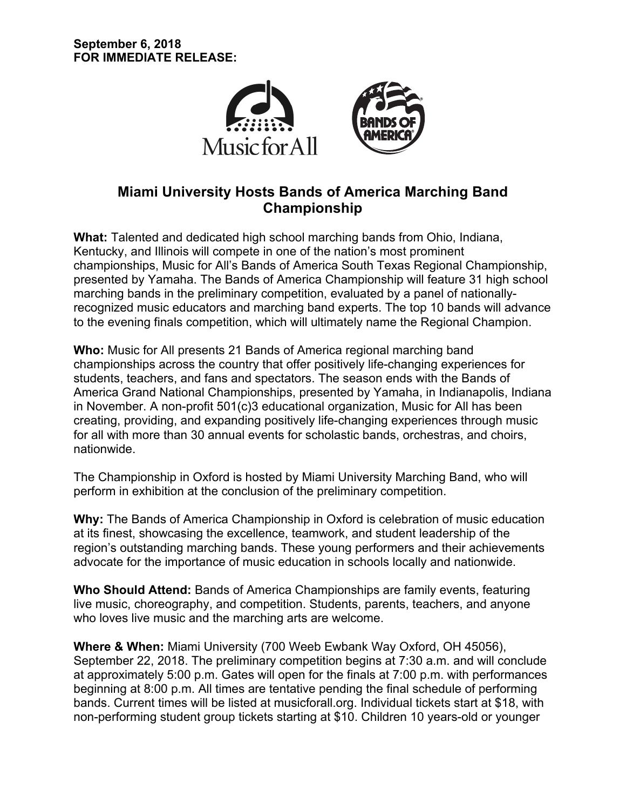

# **Miami University Hosts Bands of America Marching Band Championship**

**What:** Talented and dedicated high school marching bands from Ohio, Indiana, Kentucky, and Illinois will compete in one of the nation's most prominent championships, Music for All's Bands of America South Texas Regional Championship, presented by Yamaha. The Bands of America Championship will feature 31 high school marching bands in the preliminary competition, evaluated by a panel of nationallyrecognized music educators and marching band experts. The top 10 bands will advance to the evening finals competition, which will ultimately name the Regional Champion.

**Who:** Music for All presents 21 Bands of America regional marching band championships across the country that offer positively life-changing experiences for students, teachers, and fans and spectators. The season ends with the Bands of America Grand National Championships, presented by Yamaha, in Indianapolis, Indiana in November. A non-profit 501(c)3 educational organization, Music for All has been creating, providing, and expanding positively life-changing experiences through music for all with more than 30 annual events for scholastic bands, orchestras, and choirs, nationwide.

The Championship in Oxford is hosted by Miami University Marching Band, who will perform in exhibition at the conclusion of the preliminary competition.

**Why:** The Bands of America Championship in Oxford is celebration of music education at its finest, showcasing the excellence, teamwork, and student leadership of the region's outstanding marching bands. These young performers and their achievements advocate for the importance of music education in schools locally and nationwide.

**Who Should Attend:** Bands of America Championships are family events, featuring live music, choreography, and competition. Students, parents, teachers, and anyone who loves live music and the marching arts are welcome.

**Where & When:** Miami University (700 Weeb Ewbank Way Oxford, OH 45056), September 22, 2018. The preliminary competition begins at 7:30 a.m. and will conclude at approximately 5:00 p.m. Gates will open for the finals at 7:00 p.m. with performances beginning at 8:00 p.m. All times are tentative pending the final schedule of performing bands. Current times will be listed at musicforall.org. Individual tickets start at \$18, with non-performing student group tickets starting at \$10. Children 10 years-old or younger